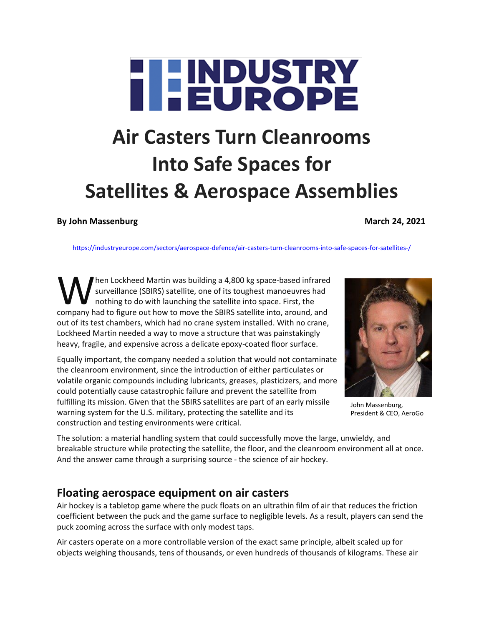# **HEUROPE**

## **Air Casters Turn Cleanrooms Into Safe Spaces for Satellites & Aerospace Assemblies**

#### **By John Massenburg March 24, 2021**

<https://industryeurope.com/sectors/aerospace-defence/air-casters-turn-cleanrooms-into-safe-spaces-for-satellites-/>

hen Lockheed Martin was building a 4,800 kg space-based infrared surveillance (SBIRS) satellite, one of its toughest manoeuvres had nothing to do with launching the satellite into space. First, the Men Lockheed Martin was building a 4,800 kg space-based infrared<br>surveillance (SBIRS) satellite, one of its toughest manoeuvres had<br>nothing to do with launching the satellite into space. First, the<br>company had to figure ou out of its test chambers, which had no crane system installed. With no crane, Lockheed Martin needed a way to move a structure that was painstakingly heavy, fragile, and expensive across a delicate epoxy-coated floor surface.

Equally important, the company needed a solution that would not contaminate the cleanroom environment, since the introduction of either particulates or volatile organic compounds including lubricants, greases, plasticizers, and more could potentially cause catastrophic failure and prevent the satellite from fulfilling its mission. Given that the SBIRS satellites are part of an early missile warning system for the U.S. military, protecting the satellite and its construction and testing environments were critical.



John Massenburg, President & CEO, AeroGo

The solution: a material handling system that could successfully move the large, unwieldy, and breakable structure while protecting the satellite, the floor, and the cleanroom environment all at once. And the answer came through a surprising source - the science of air hockey.

#### **Floating aerospace equipment on air casters**

Air hockey is a tabletop game where the puck floats on an ultrathin film of air that reduces the friction coefficient between the puck and the game surface to negligible levels. As a result, players can send the puck zooming across the surface with only modest taps.

Air casters operate on a more controllable version of the exact same principle, albeit scaled up for objects weighing thousands, tens of thousands, or even hundreds of thousands of kilograms. These air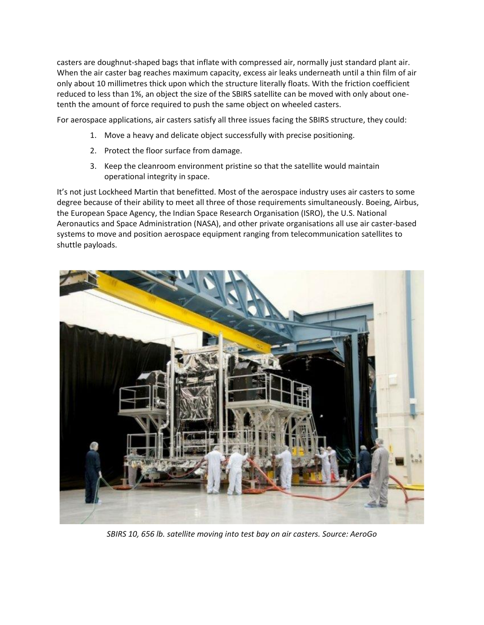casters are doughnut-shaped bags that inflate with compressed air, normally just standard plant air. When the air caster bag reaches maximum capacity, excess air leaks underneath until a thin film of air only about 10 millimetres thick upon which the structure literally floats. With the friction coefficient reduced to less than 1%, an object the size of the SBIRS satellite can be moved with only about onetenth the amount of force required to push the same object on wheeled casters.

For aerospace applications, air casters satisfy all three issues facing the SBIRS structure, they could:

- 1. Move a heavy and delicate object successfully with precise positioning.
- 2. Protect the floor surface from damage.
- 3. Keep the cleanroom environment pristine so that the satellite would maintain operational integrity in space.

It's not just Lockheed Martin that benefitted. Most of the aerospace industry uses air casters to some degree because of their ability to meet all three of those requirements simultaneously. Boeing, Airbus, the European Space Agency, the Indian Space Research Organisation (ISRO), the U.S. National Aeronautics and Space Administration (NASA), and other private organisations all use air caster-based systems to move and position aerospace equipment ranging from telecommunication satellites to shuttle payloads.



*SBIRS 10, 656 lb. satellite moving into test bay on air casters. Source: AeroGo*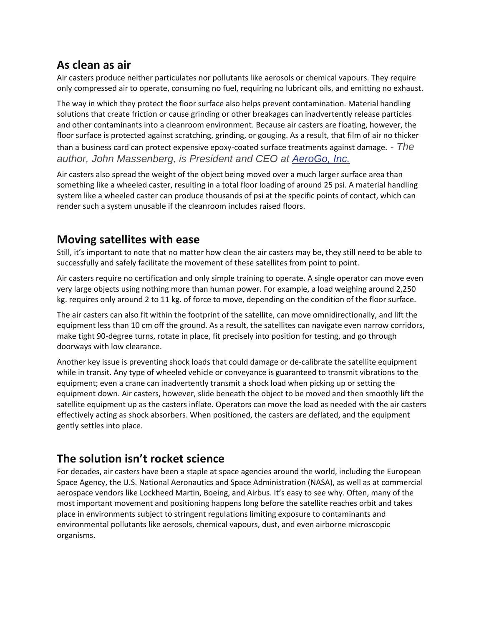#### **As clean as air**

Air casters produce neither particulates nor pollutants like aerosols or chemical vapours. They require only compressed air to operate, consuming no fuel, requiring no lubricant oils, and emitting no exhaust.

The way in which they protect the floor surface also helps prevent contamination. Material handling solutions that create friction or cause grinding or other breakages can inadvertently release particles and other contaminants into a cleanroom environment. Because air casters are floating, however, the floor surface is protected against scratching, grinding, or gouging. As a result, that film of air no thicker than a business card can protect expensive epoxy-coated surface treatments against damage. *- The author, John Massenberg, is President and CEO at [AeroGo, Inc.](https://www.aerogo.com/)*

Air casters also spread the weight of the object being moved over a much larger surface area than something like a wheeled caster, resulting in a total floor loading of around 25 psi. A material handling system like a wheeled caster can produce thousands of psi at the specific points of contact, which can render such a system unusable if the cleanroom includes raised floors.

#### **Moving satellites with ease**

Still, it's important to note that no matter how clean the air casters may be, they still need to be able to successfully and safely facilitate the movement of these satellites from point to point.

Air casters require no certification and only simple training to operate. A single operator can move even very large objects using nothing more than human power. For example, a load weighing around 2,250 kg. requires only around 2 to 11 kg. of force to move, depending on the condition of the floor surface.

The air casters can also fit within the footprint of the satellite, can move omnidirectionally, and lift the equipment less than 10 cm off the ground. As a result, the satellites can navigate even narrow corridors, make tight 90-degree turns, rotate in place, fit precisely into position for testing, and go through doorways with low clearance.

Another key issue is preventing shock loads that could damage or de-calibrate the satellite equipment while in transit. Any type of wheeled vehicle or conveyance is guaranteed to transmit vibrations to the equipment; even a crane can inadvertently transmit a shock load when picking up or setting the equipment down. Air casters, however, slide beneath the object to be moved and then smoothly lift the satellite equipment up as the casters inflate. Operators can move the load as needed with the air casters effectively acting as shock absorbers. When positioned, the casters are deflated, and the equipment gently settles into place.

### **The solution isn't rocket science**

For decades, air casters have been a staple at space agencies around the world, including the European Space Agency, the U.S. National Aeronautics and Space Administration (NASA), as well as at commercial aerospace vendors like Lockheed Martin, Boeing, and Airbus. It's easy to see why. Often, many of the most important movement and positioning happens long before the satellite reaches orbit and takes place in environments subject to stringent regulations limiting exposure to contaminants and environmental pollutants like aerosols, chemical vapours, dust, and even airborne microscopic organisms.